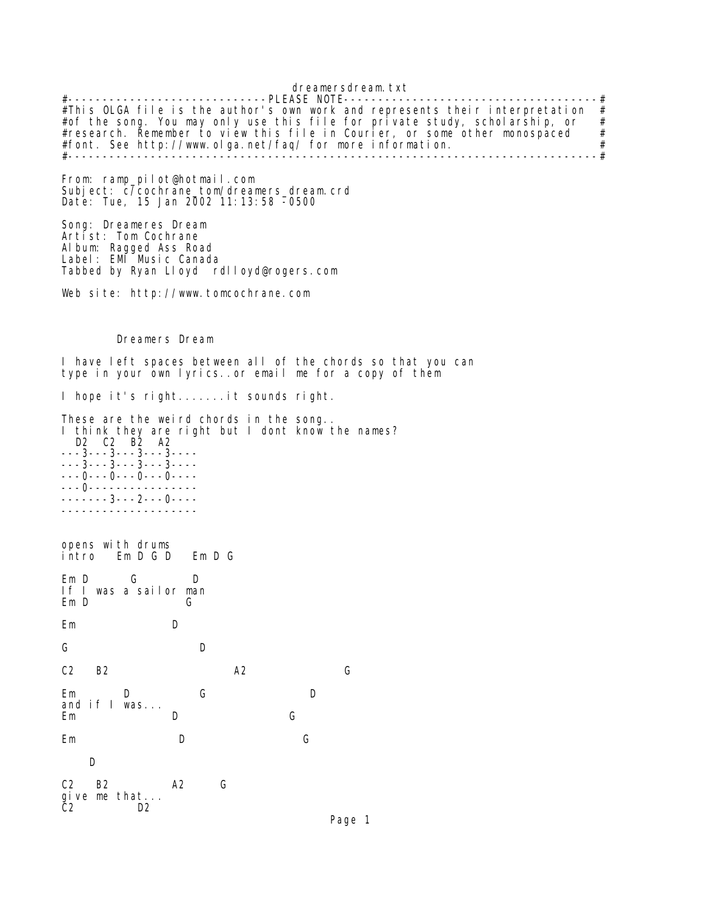dreamersdream.txt

#-----------------------------PLEASE NOTE-------------------------------------# #This OLGA file is the author's own work and represents their interpretation #<br>#of the song. You may only use this file for private study, scholarship, or # #of the song. You may only use this file for private study, scholarship, or # #research. Remember to view this file in Courier, or some other monospaced #<br>#font. See http://www.olga.net/fag/ for more information. # #font. See http://www.olga.net/faq/ for more information. # #-----------------------------------------------------------------------------#

From: ramp\_pilot@hotmail.com Subject: c/cochrane\_tom/dreamers\_dream.crd Date: Tue, 15 Jan 2002 11:13:58 -0500

Song: Dreameres Dream Artist: Tom Cochrane Album: Ragged Ass Road Label: EMI Music Canada Tabbed by Ryan Lloyd rdlloyd@rogers.com

Web site: http://www.tomcochrane.com

Dreamers Dream

--------------------

I have left spaces between all of the chords so that you can type in your own lyrics..or email me for a copy of them

I hope it's right.......it sounds right.

These are the weird chords in the song.. I think they are right but I dont know the names? D2 C2 B2 A2 ---3---3---3---3---- ---3---3---3---3---- ---0---0---0---0---- ---0---------------- -------3---2---0----

| opens with drums<br>intro<br>Em D G D                     | Em D G |                |        |   |
|-----------------------------------------------------------|--------|----------------|--------|---|
| Em D<br>G<br>If I was a sailor man<br>Em D                | D<br>G |                |        |   |
| Em                                                        | D      |                |        |   |
| G                                                         | D      |                |        |   |
| C <sub>2</sub><br>B <sub>2</sub>                          |        | A <sub>2</sub> |        | G |
| Em<br>D<br>and $if I was$<br>Em                           | G<br>D |                | D<br>G |   |
| Em                                                        | D      |                | G      |   |
| D                                                         |        |                |        |   |
| C <sub>2</sub><br>B <sub>2</sub><br>give me that<br>C2 D2 | A2     | G              |        |   |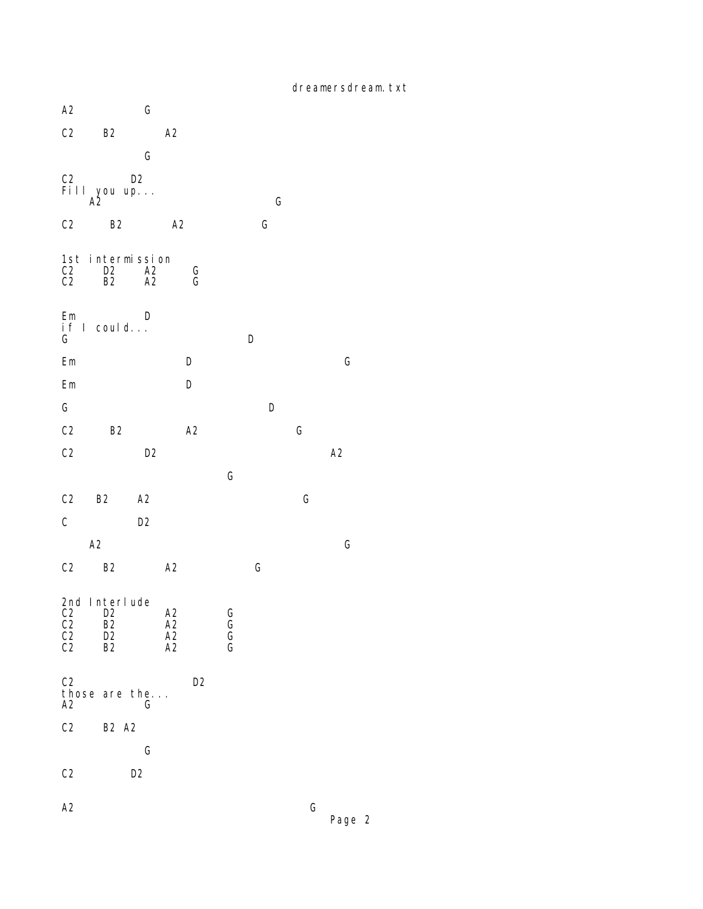dreamersdream.txt

| A2                                                 |                                            | G                    |                      |                |                  |   |   |    |
|----------------------------------------------------|--------------------------------------------|----------------------|----------------------|----------------|------------------|---|---|----|
| C <sub>2</sub>                                     | <b>B2</b>                                  |                      | A2                   |                |                  |   |   |    |
|                                                    |                                            | G                    |                      |                |                  |   |   |    |
|                                                    | $C2$<br>Fill you up<br>A2                  |                      |                      |                |                  | G |   |    |
| C2                                                 | B <sub>2</sub>                             |                      | A <sub>2</sub>       |                |                  | G |   |    |
| C2<br>C2                                           | 1st intermission<br>D2<br>B2               | A <sub>2</sub><br>A2 |                      | G<br>G         |                  |   |   |    |
| Em<br>G                                            | if I could                                 | D                    |                      |                |                  | D |   |    |
| Em                                                 |                                            |                      |                      | D              |                  |   |   | G  |
| Em                                                 |                                            |                      |                      | D              |                  |   |   |    |
| G                                                  |                                            |                      |                      |                |                  | D |   |    |
| C <sub>2</sub>                                     | B <sub>2</sub>                             |                      |                      | A2             |                  |   | G |    |
| C <sub>2</sub>                                     |                                            | D <sub>2</sub>       |                      |                |                  |   |   | A2 |
|                                                    |                                            |                      |                      |                | G                |   |   |    |
| C2                                                 | B <sub>2</sub>                             | A2                   |                      |                |                  |   | G |    |
| $\mathsf C$                                        |                                            | D <sub>2</sub>       |                      |                |                  |   |   |    |
|                                                    | A2                                         |                      |                      |                |                  |   |   | G  |
| C2                                                 | B <sub>2</sub>                             |                      | A2                   |                |                  | G |   |    |
| C <sub>2</sub><br>C <sub>2</sub><br>C <sub>2</sub> | 2nd Interlude<br>$C2$ D2<br>B2<br>D2<br>B2 |                      | A2<br>A2<br>A2<br>A2 |                | G<br>G<br>G<br>G |   |   |    |
| C <sub>2</sub><br>A2                               | those are the                              | G                    |                      | D <sub>2</sub> |                  |   |   |    |
| C2                                                 | B2 A2                                      |                      |                      |                |                  |   |   |    |
|                                                    |                                            | G                    |                      |                |                  |   |   |    |
| C <sub>2</sub>                                     |                                            | D <sub>2</sub>       |                      |                |                  |   |   |    |
| A2                                                 |                                            |                      |                      |                |                  |   | G |    |

Page 2